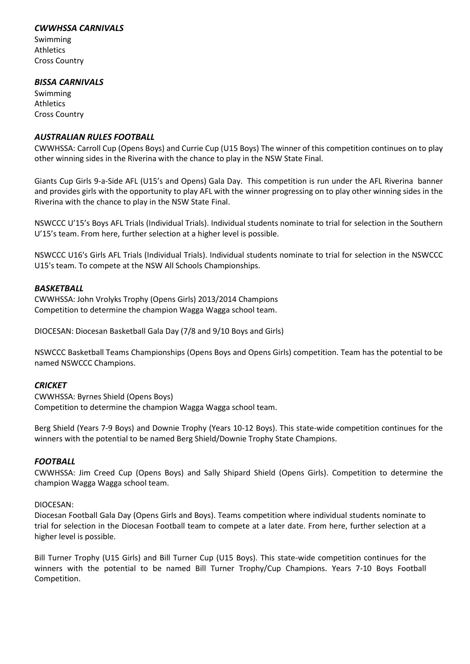# *CWWHSSA CARNIVALS*

Swimming Athletics Cross Country

# *BISSA CARNIVALS*

Swimming Athletics Cross Country

## *AUSTRALIAN RULES FOOTBALL*

CWWHSSA: Carroll Cup (Opens Boys) and Currie Cup (U15 Boys) The winner of this competition continues on to play other winning sides in the Riverina with the chance to play in the NSW State Final.

Giants Cup Girls 9-a-Side AFL (U15's and Opens) Gala Day. This competition is run under the AFL Riverina banner and provides girls with the opportunity to play AFL with the winner progressing on to play other winning sides in the Riverina with the chance to play in the NSW State Final.

NSWCCC U'15's Boys AFL Trials (Individual Trials). Individual students nominate to trial for selection in the Southern U'15's team. From here, further selection at a higher level is possible.

NSWCCC U16's Girls AFL Trials (Individual Trials). Individual students nominate to trial for selection in the NSWCCC U15's team. To compete at the NSW All Schools Championships.

# *BASKETBALL*

CWWHSSA: John Vrolyks Trophy (Opens Girls) 2013/2014 Champions Competition to determine the champion Wagga Wagga school team.

DIOCESAN: Diocesan Basketball Gala Day (7/8 and 9/10 Boys and Girls)

NSWCCC Basketball Teams Championships (Opens Boys and Opens Girls) competition. Team has the potential to be named NSWCCC Champions.

# *CRICKET*

CWWHSSA: Byrnes Shield (Opens Boys) Competition to determine the champion Wagga Wagga school team.

Berg Shield (Years 7-9 Boys) and Downie Trophy (Years 10-12 Boys). This state-wide competition continues for the winners with the potential to be named Berg Shield/Downie Trophy State Champions.

# *FOOTBALL*

CWWHSSA: Jim Creed Cup (Opens Boys) and Sally Shipard Shield (Opens Girls). Competition to determine the champion Wagga Wagga school team.

#### DIOCESAN:

Diocesan Football Gala Day (Opens Girls and Boys). Teams competition where individual students nominate to trial for selection in the Diocesan Football team to compete at a later date. From here, further selection at a higher level is possible.

Bill Turner Trophy (U15 Girls) and Bill Turner Cup (U15 Boys). This state-wide competition continues for the winners with the potential to be named Bill Turner Trophy/Cup Champions. Years 7-10 Boys Football Competition.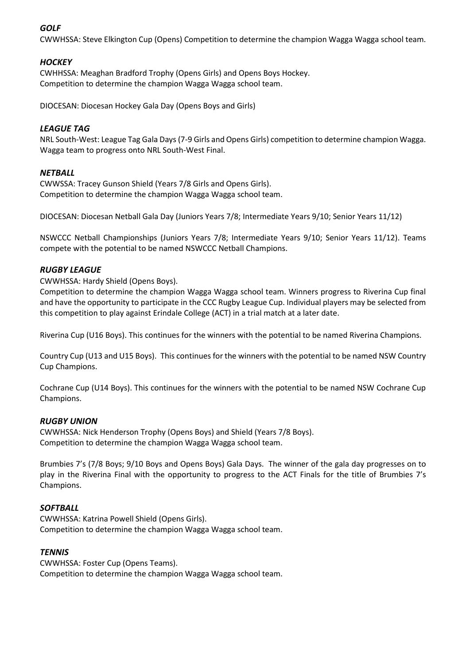# *GOLF*

CWWHSSA: Steve Elkington Cup (Opens) Competition to determine the champion Wagga Wagga school team.

# *HOCKEY*

CWHHSSA: Meaghan Bradford Trophy (Opens Girls) and Opens Boys Hockey. Competition to determine the champion Wagga Wagga school team.

DIOCESAN: Diocesan Hockey Gala Day (Opens Boys and Girls)

## *LEAGUE TAG*

NRL South-West: League Tag Gala Days (7-9 Girls and Opens Girls) competition to determine champion Wagga. Wagga team to progress onto NRL South-West Final.

#### *NETBALL*

CWWSSA: Tracey Gunson Shield (Years 7/8 Girls and Opens Girls). Competition to determine the champion Wagga Wagga school team.

DIOCESAN: Diocesan Netball Gala Day (Juniors Years 7/8; Intermediate Years 9/10; Senior Years 11/12)

NSWCCC Netball Championships (Juniors Years 7/8; Intermediate Years 9/10; Senior Years 11/12). Teams compete with the potential to be named NSWCCC Netball Champions.

#### *RUGBY LEAGUE*

CWWHSSA: Hardy Shield (Opens Boys).

Competition to determine the champion Wagga Wagga school team. Winners progress to Riverina Cup final and have the opportunity to participate in the CCC Rugby League Cup. Individual players may be selected from this competition to play against Erindale College (ACT) in a trial match at a later date.

Riverina Cup (U16 Boys). This continues for the winners with the potential to be named Riverina Champions.

Country Cup (U13 and U15 Boys). This continues for the winners with the potential to be named NSW Country Cup Champions.

Cochrane Cup (U14 Boys). This continues for the winners with the potential to be named NSW Cochrane Cup Champions.

#### *RUGBY UNION*

CWWHSSA: Nick Henderson Trophy (Opens Boys) and Shield (Years 7/8 Boys). Competition to determine the champion Wagga Wagga school team.

Brumbies 7's (7/8 Boys; 9/10 Boys and Opens Boys) Gala Days. The winner of the gala day progresses on to play in the Riverina Final with the opportunity to progress to the ACT Finals for the title of Brumbies 7's Champions.

#### *SOFTBALL*

CWWHSSA: Katrina Powell Shield (Opens Girls). Competition to determine the champion Wagga Wagga school team.

#### *TENNIS*

CWWHSSA: Foster Cup (Opens Teams). Competition to determine the champion Wagga Wagga school team.